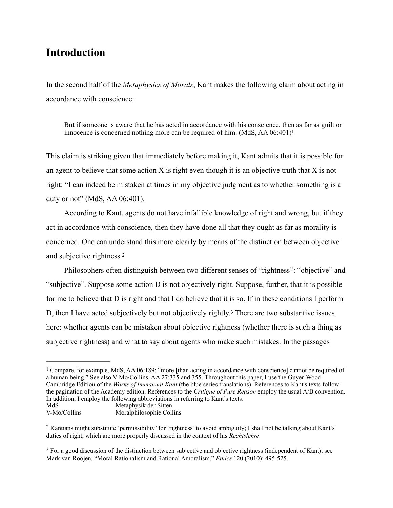## **Introduction**

In the second half of the *Metaphysics of Morals*, Kant makes the following claim about acting in accordance with conscience:

<span id="page-0-3"></span>But if someone is aware that he has acted in accordance with his conscience, then as far as guilt or innocence is concerned nothing more can be required of him.  $(MdS, AA 06:401)^{1}$ 

This claim is striking given that immediately before making it, Kant admits that it is possible for an agent to believe that some action  $X$  is right even though it is an objective truth that  $X$  is not right: "I can indeed be mistaken at times in my objective judgment as to whether something is a duty or not" (MdS, AA 06:401).

According to Kant, agents do not have infallible knowledge of right and wrong, but if they act in accordance with conscience, then they have done all that they ought as far as morality is concerned. One can understand this more clearly by means of the distinction between objective and subjective rightness[.2](#page-0-1)

<span id="page-0-5"></span><span id="page-0-4"></span>Philosophers often distinguish between two different senses of "rightness": "objective" and "subjective". Suppose some action D is not objectively right. Suppose, further, that it is possible for me to believe that D is right and that I do believe that it is so. If in these conditions I perform D, then I have acted subjectively but not objectively rightly[.](#page-0-2)<sup>[3](#page-0-2)</sup> There are two substantive issues here: whether agents can be mistaken about objective rightness (whether there is such a thing as subjective rightness) and what to say about agents who make such mistakes. In the passages

<span id="page-0-0"></span><sup>&</sup>lt;sup>1</sup>Compare, for example, MdS, AA 06:[1](#page-0-3)89: "more [than acting in accordance with conscience] cannot be required of a human being." See also V-Mo/Collins, AA 27:335 and 355. Throughout this paper, I use the Guyer-Wood Cambridge Edition of the *Works of Immanual Kant* (the blue series translations). References to Kant's texts follow the pagination of the Academy edition. References to the *Critique of Pure Reason* employ the usual A/B convention. In addition, I employ the following abbreviations in referring to Kant's texts: MdS<br>
Metaphysik der Sitten<br>
V-Mo/Collins<br>
Moralphilosophie Coll

Moralphilosophie Collins

<span id="page-0-1"></span><sup>&</sup>lt;sup>[2](#page-0-4)</sup> Kantians might substitute 'permissibility' for 'rightness' to avoid ambiguity; I shall not be talking about Kant's duties of right, which are more properly discussed in the context of his *Rechtslehre*.

<span id="page-0-2"></span><sup>&</sup>lt;sup>[3](#page-0-5)</sup> For a good discussion of the distinction between subjective and objective rightness (independent of Kant), see Mark van Roojen, "Moral Rationalism and Rational Amoralism," *Ethics* 120 (2010): 495-525.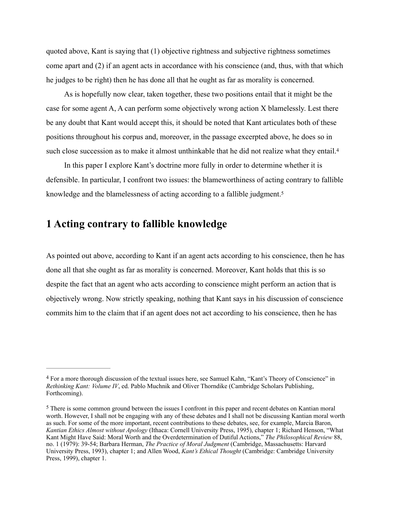quoted above, Kant is saying that (1) objective rightness and subjective rightness sometimes come apart and (2) if an agent acts in accordance with his conscience (and, thus, with that which he judges to be right) then he has done all that he ought as far as morality is concerned.

As is hopefully now clear, taken together, these two positions entail that it might be the case for some agent A, A can perform some objectively wrong action X blamelessly. Lest there be any doubt that Kant would accept this, it should be noted that Kant articulates both of these positions throughout his corpus and, moreover, in the passage excerpted above, he does so in such close succession as to make it almost unthinkable that he did not realize what they entail.<sup>4</sup>

<span id="page-1-3"></span><span id="page-1-2"></span>In this paper I explore Kant's doctrine more fully in order to determine whether it is defensible. In particular, I confront two issues: the blameworthiness of acting contrary to fallible knowledge and the blamelessness of acting according to a fallible judgment[.5](#page-1-1)

## **1 Acting contrary to fallible knowledge**

As pointed out above, according to Kant if an agent acts according to his conscience, then he has done all that she ought as far as morality is concerned. Moreover, Kant holds that this is so despite the fact that an agent who acts according to conscience might perform an action that is objectively wrong. Now strictly speaking, nothing that Kant says in his discussion of conscience commits him to the claim that if an agent does not act according to his conscience, then he has

<span id="page-1-0"></span>For a more thorough discussion of the textual issues here, see Samuel Kahn, "Kant's Theory of Conscience" in [4](#page-1-2) *Rethinking Kant: Volume IV*, ed. Pablo Muchnik and Oliver Thorndike (Cambridge Scholars Publishing, Forthcoming).

<span id="page-1-1"></span><sup>&</sup>lt;sup>[5](#page-1-3)</sup> There is some common ground between the issues I confront in this paper and recent debates on Kantian moral worth. However, I shall not be engaging with any of these debates and I shall not be discussing Kantian moral worth as such. For some of the more important, recent contributions to these debates, see, for example, Marcia Baron, *Kantian Ethics Almost without Apology* (Ithaca: Cornell University Press, 1995), chapter 1; Richard Henson, "What Kant Might Have Said: Moral Worth and the Overdetermination of Dutiful Actions," *The Philosophical Review* 88, no. 1 (1979): 39-54; Barbara Herman, *The Practice of Moral Judgment* (Cambridge, Massachusetts: Harvard University Press, 1993), chapter 1; and Allen Wood, *Kant's Ethical Thought* (Cambridge: Cambridge University Press, 1999), chapter 1.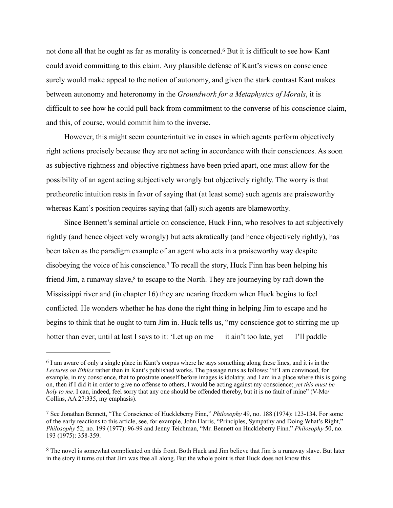<span id="page-2-3"></span>notdone all that he ought as far as morality is concerned.<sup>[6](#page-2-0)</sup> But it is difficult to see how Kant could avoid committing to this claim. Any plausible defense of Kant's views on conscience surely would make appeal to the notion of autonomy, and given the stark contrast Kant makes between autonomy and heteronomy in the *Groundwork for a Metaphysics of Morals*, it is difficult to see how he could pull back from commitment to the converse of his conscience claim, and this, of course, would commit him to the inverse.

However, this might seem counterintuitive in cases in which agents perform objectively right actions precisely because they are not acting in accordance with their consciences. As soon as subjective rightness and objective rightness have been pried apart, one must allow for the possibility of an agent acting subjectively wrongly but objectively rightly. The worry is that pretheoretic intuition rests in favor of saying that (at least some) such agents are praiseworthy whereas Kant's position requires saying that (all) such agents are blameworthy.

<span id="page-2-5"></span><span id="page-2-4"></span>Since Bennett's seminal article on conscience, Huck Finn, who resolves to act subjectively rightly (and hence objectively wrongly) but acts akratically (and hence objectively rightly), has been taken as the paradigm example of an agent who acts in a praiseworthy way despite disobeyingthe voice of his conscience.<sup>[7](#page-2-1)</sup> To recall the story, Huck Finn has been helping his friend Jim[,](#page-2-2) a runaway slave, $8$  to escape to the North. They are journeying by raft down the Mississippi river and (in chapter 16) they are nearing freedom when Huck begins to feel conflicted. He wonders whether he has done the right thing in helping Jim to escape and he begins to think that he ought to turn Jim in. Huck tells us, "my conscience got to stirring me up hotter than ever, until at last I says to it: 'Let up on me — it ain't too late, yet — I'll paddle

<span id="page-2-0"></span><sup>&</sup>lt;sup>[6](#page-2-3)</sup> I am aware of only a single place in Kant's corpus where he says something along these lines, and it is in the *Lectures on Ethics* rather than in Kant's published works. The passage runs as follows: "if I am convinced, for example, in my conscience, that to prostrate oneself before images is idolatry, and I am in a place where this is going on, then if I did it in order to give no offense to others, I would be acting against my conscience; *yet this must be holy to me*. I can, indeed, feel sorry that any one should be offended thereby, but it is no fault of mine" (V-Mo/ Collins, AA 27:335, my emphasis).

<span id="page-2-1"></span>See Jonathan Bennett, "The Conscience of Huckleberry Finn," *Philosophy* 49, no. 188 (1974): 123-134. For some [7](#page-2-4) of the early reactions to this article, see, for example, John Harris, "Principles, Sympathy and Doing What's Right," *Philosophy* 52, no. 199 (1977): 96-99 and Jenny Teichman, "Mr. Bennett on Huckleberry Finn." *Philosophy* 50, no. 193 (1975): 358-359.

<span id="page-2-2"></span><sup>&</sup>lt;sup>[8](#page-2-5)</sup> The novel is somewhat complicated on this front. Both Huck and Jim believe that Jim is a runaway slave. But later in the story it turns out that Jim was free all along. But the whole point is that Huck does not know this.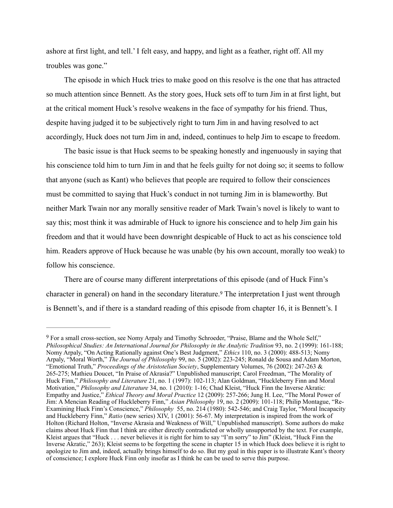ashore at first light, and tell.' I felt easy, and happy, and light as a feather, right off. All my troubles was gone."

The episode in which Huck tries to make good on this resolve is the one that has attracted so much attention since Bennett. As the story goes, Huck sets off to turn Jim in at first light, but at the critical moment Huck's resolve weakens in the face of sympathy for his friend. Thus, despite having judged it to be subjectively right to turn Jim in and having resolved to act accordingly, Huck does not turn Jim in and, indeed, continues to help Jim to escape to freedom.

The basic issue is that Huck seems to be speaking honestly and ingenuously in saying that his conscience told him to turn Jim in and that he feels guilty for not doing so; it seems to follow that anyone (such as Kant) who believes that people are required to follow their consciences must be committed to saying that Huck's conduct in not turning Jim in is blameworthy. But neither Mark Twain nor any morally sensitive reader of Mark Twain's novel is likely to want to say this; most think it was admirable of Huck to ignore his conscience and to help Jim gain his freedom and that it would have been downright despicable of Huck to act as his conscience told him. Readers approve of Huck because he was unable (by his own account, morally too weak) to follow his conscience.

<span id="page-3-1"></span>There are of course many different interpretations of this episode (and of Huck Finn's characterin general) on hand in the secondary literature.<sup>[9](#page-3-0)</sup> The interpretation I just went through is Bennett's, and if there is a standard reading of this episode from chapter 16, it is Bennett's. I

<span id="page-3-0"></span>For a small cross-section, see Nomy Arpaly and Timothy Schroeder, "Praise, Blame and the Whole Self," [9](#page-3-1) *Philosophical Studies: An International Journal for Philosophy in the Analytic Tradition* 93, no. 2 (1999): 161-188; Nomy Arpaly, "On Acting Rationally against One's Best Judgment," *Ethics* 110, no. 3 (2000): 488-513; Nomy Arpaly, "Moral Worth," *The Journal of Philosophy* 99, no. 5 (2002): 223-245; Ronald de Sousa and Adam Morton, "Emotional Truth," *Proceedings of the Aristotelian Society*, Supplementary Volumes, 76 (2002): 247-263 & 265-275; Mathieu Doucet, "In Praise of Akrasia?" Unpublished manuscript; Carol Freedman, "The Morality of Huck Finn," *Philosophy and Literature* 21, no. 1 (1997): 102-113; Alan Goldman, "Huckleberry Finn and Moral Motivation," *Philosophy and Literature* 34, no. 1 (2010): 1-16; Chad Kleist, "Huck Finn the Inverse Akratic: Empathy and Justice," *Ethical Theory and Moral Practice* 12 (2009): 257-266; Jung H. Lee, "The Moral Power of Jim: A Mencian Reading of Huckleberry Finn," *Asian Philosophy* 19, no. 2 (2009): 101-118; Philip Montague, "Re-Examining Huck Finn's Conscience," *Philosophy* 55, no. 214 (1980): 542-546; and Craig Taylor, "Moral Incapacity and Huckleberry Finn," *Ratio* (new series) XIV, 1 (2001): 56-67. My interpretation is inspired from the work of Holton (Richard Holton, "Inverse Akrasia and Weakness of Will," Unpublished manuscript). Some authors do make claims about Huck Finn that I think are either directly contradicted or wholly unsupported by the text. For example, Kleist argues that "Huck . . . never believes it is right for him to say "I'm sorry" to Jim" (Kleist, "Huck Finn the Inverse Akratic," 263); Kleist seems to be forgetting the scene in chapter 15 in which Huck does believe it is right to apologize to Jim and, indeed, actually brings himself to do so. But my goal in this paper is to illustrate Kant's theory of conscience; I explore Huck Finn only insofar as I think he can be used to serve this purpose.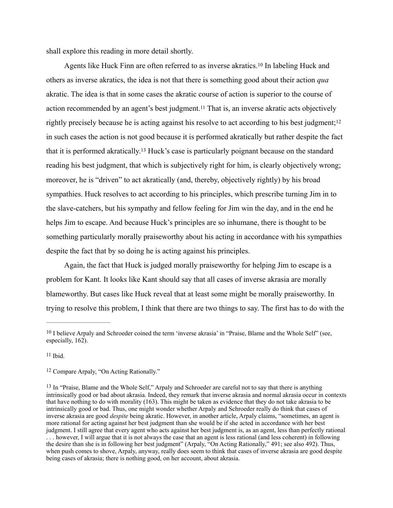shall explore this reading in more detail shortly.

<span id="page-4-7"></span><span id="page-4-6"></span><span id="page-4-5"></span><span id="page-4-4"></span>Agentslike Huck Finn are often referred to as inverse akratics.<sup>[10](#page-4-0)</sup> In labeling Huck and others as inverse akratics, the idea is not that there is something good about their action *qua* akratic. The idea is that in some cases the akratic course of action is superior to the course of action recommended by an agent's best judgment.<sup>[11](#page-4-1)</sup> That is, an inverse akratic acts objectively rightly precisely because he is acting against his resolve to act according to his best judgment;<sup>[12](#page-4-2)</sup> in such cases the action is not good because it is performed akratically but rather despite the fact thatit is performed akratically.<sup>[13](#page-4-3)</sup> Huck's case is particularly poignant because on the standard reading his best judgment, that which is subjectively right for him, is clearly objectively wrong; moreover, he is "driven" to act akratically (and, thereby, objectively rightly) by his broad sympathies. Huck resolves to act according to his principles, which prescribe turning Jim in to the slave-catchers, but his sympathy and fellow feeling for Jim win the day, and in the end he helps Jim to escape. And because Huck's principles are so inhumane, there is thought to be something particularly morally praiseworthy about his acting in accordance with his sympathies despite the fact that by so doing he is acting against his principles.

Again, the fact that Huck is judged morally praiseworthy for helping Jim to escape is a problem for Kant. It looks like Kant should say that all cases of inverse akrasia are morally blameworthy. But cases like Huck reveal that at least some might be morally praiseworthy. In trying to resolve this problem, I think that there are two things to say. The first has to do with the

<span id="page-4-1"></span> $11$  Ibid.

<span id="page-4-2"></span><sup>[12](#page-4-6)</sup> Compare Arpaly, "On Acting Rationally."

<span id="page-4-0"></span> $10$  I believe Arpaly and Schroeder coined the term 'inverse akrasia' in "Praise, Blame and the Whole Self" (see, especially, 162).

<span id="page-4-3"></span><sup>&</sup>lt;sup>[13](#page-4-7)</sup> In "Praise, Blame and the Whole Self," Arpaly and Schroeder are careful not to say that there is anything intrinsically good or bad about akrasia. Indeed, they remark that inverse akrasia and normal akrasia occur in contexts that have nothing to do with morality (163). This might be taken as evidence that they do not take akrasia to be intrinsically good or bad. Thus, one might wonder whether Arpaly and Schroeder really do think that cases of inverse akrasia are good *despite* being akratic. However, in another article, Arpaly claims, "sometimes, an agent is more rational for acting against her best judgment than she would be if she acted in accordance with her best judgment. I still agree that every agent who acts against her best judgment is, as an agent, less than perfectly rational . . . however, I will argue that it is not always the case that an agent is less rational (and less coherent) in following the desire than she is in following her best judgment" (Arpaly, "On Acting Rationally," 491; see also 492). Thus, when push comes to shove, Arpaly, anyway, really does seem to think that cases of inverse akrasia are good despite being cases of akrasia; there is nothing good, on her account, about akrasia.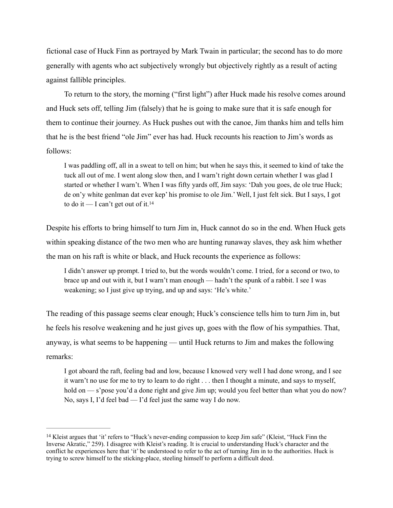fictional case of Huck Finn as portrayed by Mark Twain in particular; the second has to do more generally with agents who act subjectively wrongly but objectively rightly as a result of acting against fallible principles.

To return to the story, the morning ("first light") after Huck made his resolve comes around and Huck sets off, telling Jim (falsely) that he is going to make sure that it is safe enough for them to continue their journey. As Huck pushes out with the canoe, Jim thanks him and tells him that he is the best friend "ole Jim" ever has had. Huck recounts his reaction to Jim's words as follows:

<span id="page-5-1"></span>I was paddling off, all in a sweat to tell on him; but when he says this, it seemed to kind of take the tuck all out of me. I went along slow then, and I warn't right down certain whether I was glad I started or whether I warn't. When I was fifty yards off, Jim says: 'Dah you goes, de ole true Huck; de on'y white genlman dat ever kep' his promise to ole Jim.' Well, I just felt sick. But I says, I got to do it — I can't get out of it.<sup>14</sup>

Despite his efforts to bring himself to turn Jim in, Huck cannot do so in the end. When Huck gets within speaking distance of the two men who are hunting runaway slaves, they ask him whether the man on his raft is white or black, and Huck recounts the experience as follows:

I didn't answer up prompt. I tried to, but the words wouldn't come. I tried, for a second or two, to brace up and out with it, but I warn't man enough — hadn't the spunk of a rabbit. I see I was weakening; so I just give up trying, and up and says: 'He's white.'

The reading of this passage seems clear enough; Huck's conscience tells him to turn Jim in, but he feels his resolve weakening and he just gives up, goes with the flow of his sympathies. That, anyway, is what seems to be happening — until Huck returns to Jim and makes the following remarks:

I got aboard the raft, feeling bad and low, because I knowed very well I had done wrong, and I see it warn't no use for me to try to learn to do right . . . then I thought a minute, and says to myself, hold on — s'pose you'd a done right and give Jim up; would you feel better than what you do now? No, says I, I'd feel bad — I'd feel just the same way I do now.

<span id="page-5-0"></span><sup>&</sup>lt;sup>[14](#page-5-1)</sup> Kleist argues that 'it' refers to "Huck's never-ending compassion to keep Jim safe" (Kleist, "Huck Finn the Inverse Akratic," 259). I disagree with Kleist's reading. It is crucial to understanding Huck's character and the conflict he experiences here that 'it' be understood to refer to the act of turning Jim in to the authorities. Huck is trying to screw himself to the sticking-place, steeling himself to perform a difficult deed.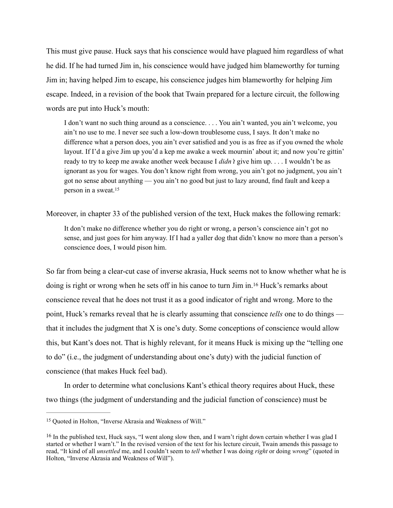This must give pause. Huck says that his conscience would have plagued him regardless of what he did. If he had turned Jim in, his conscience would have judged him blameworthy for turning Jim in; having helped Jim to escape, his conscience judges him blameworthy for helping Jim escape. Indeed, in a revision of the book that Twain prepared for a lecture circuit, the following words are put into Huck's mouth:

I don't want no such thing around as a conscience. . . . You ain't wanted, you ain't welcome, you ain't no use to me. I never see such a low-down troublesome cuss, I says. It don't make no difference what a person does, you ain't ever satisfied and you is as free as if you owned the whole layout. If I'd a give Jim up you'd a kep me awake a week mournin' about it; and now you're gittin' ready to try to keep me awake another week because I *didn't* give him up. . . . I wouldn't be as ignorant as you for wages. You don't know right from wrong, you ain't got no judgment, you ain't got no sense about anything — you ain't no good but just to lazy around, find fault and keep a person in a sweat.[15](#page-6-0)

Moreover, in chapter 33 of the published version of the text, Huck makes the following remark:

<span id="page-6-3"></span><span id="page-6-2"></span>It don't make no difference whether you do right or wrong, a person's conscience ain't got no sense, and just goes for him anyway. If I had a yaller dog that didn't know no more than a person's conscience does, I would pison him.

So far from being a clear-cut case of inverse akrasia, Huck seems not to know whether what he is doing is right or wrong when he sets off in his canoe to turn Jim in[.](#page-6-1)<sup>[16](#page-6-1)</sup> Huck's remarks about conscience reveal that he does not trust it as a good indicator of right and wrong. More to the point, Huck's remarks reveal that he is clearly assuming that conscience *tells* one to do things that it includes the judgment that X is one's duty. Some conceptions of conscience would allow this, but Kant's does not. That is highly relevant, for it means Huck is mixing up the "telling one to do" (i.e., the judgment of understanding about one's duty) with the judicial function of conscience (that makes Huck feel bad).

In order to determine what conclusions Kant's ethical theory requires about Huck, these two things (the judgment of understanding and the judicial function of conscience) must be

<span id="page-6-0"></span><sup>&</sup>lt;sup>[15](#page-6-2)</sup> Quoted in Holton, "Inverse Akrasia and Weakness of Will."

<span id="page-6-1"></span> $16$  In the published text, Huck says, "I went along slow then, and I warn't right down certain whether I was glad I started or whether I warn't." In the revised version of the text for his lecture circuit, Twain amends this passage to read, "It kind of all *unsettled* me, and I couldn't seem to *tell* whether I was doing *right* or doing *wrong*" (quoted in Holton, "Inverse Akrasia and Weakness of Will").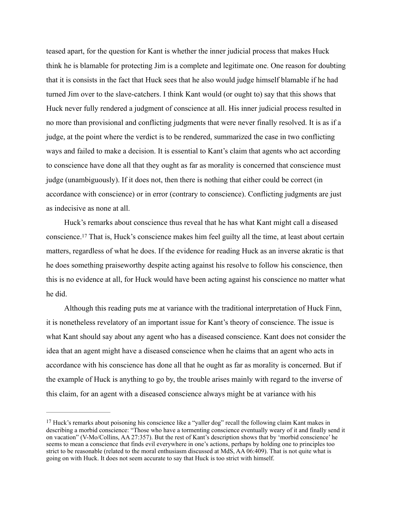teased apart, for the question for Kant is whether the inner judicial process that makes Huck think he is blamable for protecting Jim is a complete and legitimate one. One reason for doubting that it is consists in the fact that Huck sees that he also would judge himself blamable if he had turned Jim over to the slave-catchers. I think Kant would (or ought to) say that this shows that Huck never fully rendered a judgment of conscience at all. His inner judicial process resulted in no more than provisional and conflicting judgments that were never finally resolved. It is as if a judge, at the point where the verdict is to be rendered, summarized the case in two conflicting ways and failed to make a decision. It is essential to Kant's claim that agents who act according to conscience have done all that they ought as far as morality is concerned that conscience must judge (unambiguously). If it does not, then there is nothing that either could be correct (in accordance with conscience) or in error (contrary to conscience). Conflicting judgments are just as indecisive as none at all.

<span id="page-7-1"></span>Huck's remarks about conscience thus reveal that he has what Kant might call a diseased conscience.<sup>17</sup>That is, Huck's conscience makes him feel guilty all the time, at least about certain matters, regardless of what he does. If the evidence for reading Huck as an inverse akratic is that he does something praiseworthy despite acting against his resolve to follow his conscience, then this is no evidence at all, for Huck would have been acting against his conscience no matter what he did.

Although this reading puts me at variance with the traditional interpretation of Huck Finn, it is nonetheless revelatory of an important issue for Kant's theory of conscience. The issue is what Kant should say about any agent who has a diseased conscience. Kant does not consider the idea that an agent might have a diseased conscience when he claims that an agent who acts in accordance with his conscience has done all that he ought as far as morality is concerned. But if the example of Huck is anything to go by, the trouble arises mainly with regard to the inverse of this claim, for an agent with a diseased conscience always might be at variance with his

<span id="page-7-0"></span><sup>&</sup>lt;sup>[17](#page-7-1)</sup> Huck's remarks about poisoning his conscience like a "yaller dog" recall the following claim Kant makes in describing a morbid conscience: "Those who have a tormenting conscience eventually weary of it and finally send it on vacation" (V-Mo/Collins, AA 27:357). But the rest of Kant's description shows that by 'morbid conscience' he seems to mean a conscience that finds evil everywhere in one's actions, perhaps by holding one to principles too strict to be reasonable (related to the moral enthusiasm discussed at MdS, AA 06:409). That is not quite what is going on with Huck. It does not seem accurate to say that Huck is too strict with himself.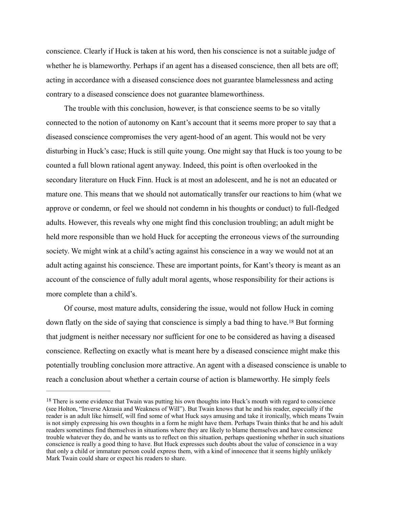conscience. Clearly if Huck is taken at his word, then his conscience is not a suitable judge of whether he is blameworthy. Perhaps if an agent has a diseased conscience, then all bets are off; acting in accordance with a diseased conscience does not guarantee blamelessness and acting contrary to a diseased conscience does not guarantee blameworthiness.

The trouble with this conclusion, however, is that conscience seems to be so vitally connected to the notion of autonomy on Kant's account that it seems more proper to say that a diseased conscience compromises the very agent-hood of an agent. This would not be very disturbing in Huck's case; Huck is still quite young. One might say that Huck is too young to be counted a full blown rational agent anyway. Indeed, this point is often overlooked in the secondary literature on Huck Finn. Huck is at most an adolescent, and he is not an educated or mature one. This means that we should not automatically transfer our reactions to him (what we approve or condemn, or feel we should not condemn in his thoughts or conduct) to full-fledged adults. However, this reveals why one might find this conclusion troubling; an adult might be held more responsible than we hold Huck for accepting the erroneous views of the surrounding society. We might wink at a child's acting against his conscience in a way we would not at an adult acting against his conscience. These are important points, for Kant's theory is meant as an account of the conscience of fully adult moral agents, whose responsibility for their actions is more complete than a child's.

<span id="page-8-1"></span>Of course, most mature adults, considering the issue, would not follow Huck in coming downflatly on the side of saying that conscience is simply a bad thing to have.<sup>[18](#page-8-0)</sup> But forming that judgment is neither necessary nor sufficient for one to be considered as having a diseased conscience. Reflecting on exactly what is meant here by a diseased conscience might make this potentially troubling conclusion more attractive. An agent with a diseased conscience is unable to reach a conclusion about whether a certain course of action is blameworthy. He simply feels

<span id="page-8-0"></span><sup>&</sup>lt;sup>[18](#page-8-1)</sup> There is some evidence that Twain was putting his own thoughts into Huck's mouth with regard to conscience (see Holton, "Inverse Akrasia and Weakness of Will"). But Twain knows that he and his reader, especially if the reader is an adult like himself, will find some of what Huck says amusing and take it ironically, which means Twain is not simply expressing his own thoughts in a form he might have them. Perhaps Twain thinks that he and his adult readers sometimes find themselves in situations where they are likely to blame themselves and have conscience trouble whatever they do, and he wants us to reflect on this situation, perhaps questioning whether in such situations conscience is really a good thing to have. But Huck expresses such doubts about the value of conscience in a way that only a child or immature person could express them, with a kind of innocence that it seems highly unlikely Mark Twain could share or expect his readers to share.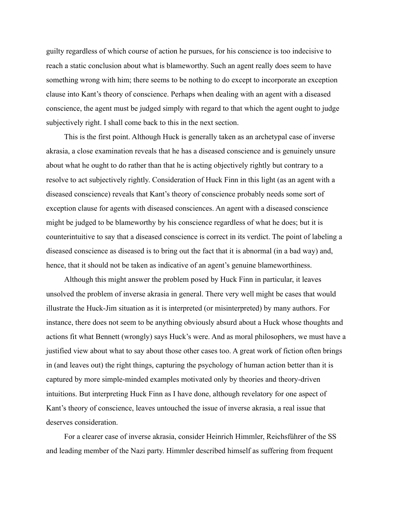guilty regardless of which course of action he pursues, for his conscience is too indecisive to reach a static conclusion about what is blameworthy. Such an agent really does seem to have something wrong with him; there seems to be nothing to do except to incorporate an exception clause into Kant's theory of conscience. Perhaps when dealing with an agent with a diseased conscience, the agent must be judged simply with regard to that which the agent ought to judge subjectively right. I shall come back to this in the next section.

This is the first point. Although Huck is generally taken as an archetypal case of inverse akrasia, a close examination reveals that he has a diseased conscience and is genuinely unsure about what he ought to do rather than that he is acting objectively rightly but contrary to a resolve to act subjectively rightly. Consideration of Huck Finn in this light (as an agent with a diseased conscience) reveals that Kant's theory of conscience probably needs some sort of exception clause for agents with diseased consciences. An agent with a diseased conscience might be judged to be blameworthy by his conscience regardless of what he does; but it is counterintuitive to say that a diseased conscience is correct in its verdict. The point of labeling a diseased conscience as diseased is to bring out the fact that it is abnormal (in a bad way) and, hence, that it should not be taken as indicative of an agent's genuine blameworthiness.

Although this might answer the problem posed by Huck Finn in particular, it leaves unsolved the problem of inverse akrasia in general. There very well might be cases that would illustrate the Huck-Jim situation as it is interpreted (or misinterpreted) by many authors. For instance, there does not seem to be anything obviously absurd about a Huck whose thoughts and actions fit what Bennett (wrongly) says Huck's were. And as moral philosophers, we must have a justified view about what to say about those other cases too. A great work of fiction often brings in (and leaves out) the right things, capturing the psychology of human action better than it is captured by more simple-minded examples motivated only by theories and theory-driven intuitions. But interpreting Huck Finn as I have done, although revelatory for one aspect of Kant's theory of conscience, leaves untouched the issue of inverse akrasia, a real issue that deserves consideration.

For a clearer case of inverse akrasia, consider Heinrich Himmler, Reichsführer of the SS and leading member of the Nazi party. Himmler described himself as suffering from frequent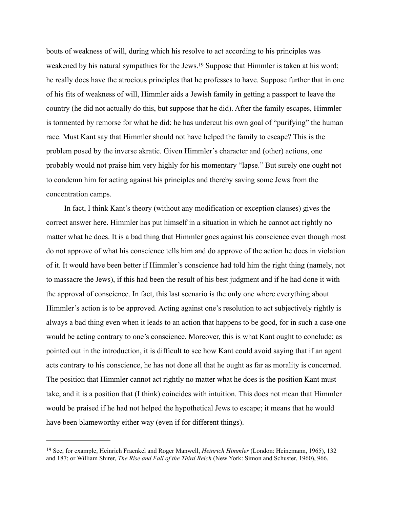<span id="page-10-1"></span>bouts of weakness of will, during which his resolve to act according to his principles was weakened by his natural sympathies for the Jews[.](#page-10-0)<sup>[19](#page-10-0)</sup> Suppose that Himmler is taken at his word; he really does have the atrocious principles that he professes to have. Suppose further that in one of his fits of weakness of will, Himmler aids a Jewish family in getting a passport to leave the country (he did not actually do this, but suppose that he did). After the family escapes, Himmler is tormented by remorse for what he did; he has undercut his own goal of "purifying" the human race. Must Kant say that Himmler should not have helped the family to escape? This is the problem posed by the inverse akratic. Given Himmler's character and (other) actions, one probably would not praise him very highly for his momentary "lapse." But surely one ought not to condemn him for acting against his principles and thereby saving some Jews from the concentration camps.

In fact, I think Kant's theory (without any modification or exception clauses) gives the correct answer here. Himmler has put himself in a situation in which he cannot act rightly no matter what he does. It is a bad thing that Himmler goes against his conscience even though most do not approve of what his conscience tells him and do approve of the action he does in violation of it. It would have been better if Himmler's conscience had told him the right thing (namely, not to massacre the Jews), if this had been the result of his best judgment and if he had done it with the approval of conscience. In fact, this last scenario is the only one where everything about Himmler's action is to be approved. Acting against one's resolution to act subjectively rightly is always a bad thing even when it leads to an action that happens to be good, for in such a case one would be acting contrary to one's conscience. Moreover, this is what Kant ought to conclude; as pointed out in the introduction, it is difficult to see how Kant could avoid saying that if an agent acts contrary to his conscience, he has not done all that he ought as far as morality is concerned. The position that Himmler cannot act rightly no matter what he does is the position Kant must take, and it is a position that (I think) coincides with intuition. This does not mean that Himmler would be praised if he had not helped the hypothetical Jews to escape; it means that he would have been blameworthy either way (even if for different things).

<span id="page-10-0"></span><sup>&</sup>lt;sup>[19](#page-10-1)</sup> See, for example, Heinrich Fraenkel and Roger Manwell, *Heinrich Himmler* (London: Heinemann, 1965), 132 and 187; or William Shirer, *The Rise and Fall of the Third Reich* (New York: Simon and Schuster, 1960), 966.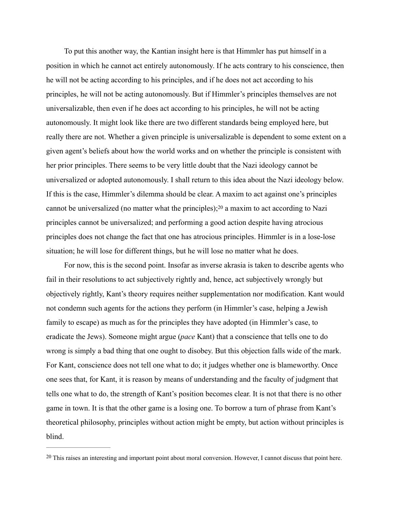To put this another way, the Kantian insight here is that Himmler has put himself in a position in which he cannot act entirely autonomously. If he acts contrary to his conscience, then he will not be acting according to his principles, and if he does not act according to his principles, he will not be acting autonomously. But if Himmler's principles themselves are not universalizable, then even if he does act according to his principles, he will not be acting autonomously. It might look like there are two different standards being employed here, but really there are not. Whether a given principle is universalizable is dependent to some extent on a given agent's beliefs about how the world works and on whether the principle is consistent with her prior principles. There seems to be very little doubt that the Nazi ideology cannot be universalized or adopted autonomously. I shall return to this idea about the Nazi ideology below. If this is the case, Himmler's dilemma should be clear. A maxim to act against one's principles cannotbe universalized (no matter what the principles);  $20$  a maxim to act according to Nazi principles cannot be universalized; and performing a good action despite having atrocious principles does not change the fact that one has atrocious principles. Himmler is in a lose-lose situation; he will lose for different things, but he will lose no matter what he does.

<span id="page-11-1"></span>For now, this is the second point. Insofar as inverse akrasia is taken to describe agents who fail in their resolutions to act subjectively rightly and, hence, act subjectively wrongly but objectively rightly, Kant's theory requires neither supplementation nor modification. Kant would not condemn such agents for the actions they perform (in Himmler's case, helping a Jewish family to escape) as much as for the principles they have adopted (in Himmler's case, to eradicate the Jews). Someone might argue (*pace* Kant) that a conscience that tells one to do wrong is simply a bad thing that one ought to disobey. But this objection falls wide of the mark. For Kant, conscience does not tell one what to do; it judges whether one is blameworthy. Once one sees that, for Kant, it is reason by means of understanding and the faculty of judgment that tells one what to do, the strength of Kant's position becomes clear. It is not that there is no other game in town. It is that the other game is a losing one. To borrow a turn of phrase from Kant's theoretical philosophy, principles without action might be empty, but action without principles is blind.

<span id="page-11-0"></span><sup>&</sup>lt;sup>[20](#page-11-1)</sup> This raises an interesting and important point about moral conversion. However, I cannot discuss that point here.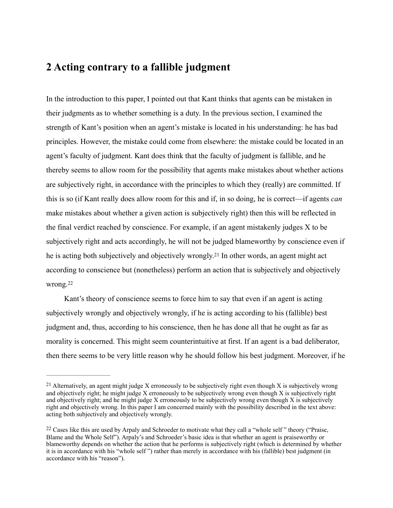## **2 Acting contrary to a fallible judgment**

In the introduction to this paper, I pointed out that Kant thinks that agents can be mistaken in their judgments as to whether something is a duty. In the previous section, I examined the strength of Kant's position when an agent's mistake is located in his understanding: he has bad principles. However, the mistake could come from elsewhere: the mistake could be located in an agent's faculty of judgment. Kant does think that the faculty of judgment is fallible, and he thereby seems to allow room for the possibility that agents make mistakes about whether actions are subjectively right, in accordance with the principles to which they (really) are committed. If this is so (if Kant really does allow room for this and if, in so doing, he is correct—if agents *can* make mistakes about whether a given action is subjectively right) then this will be reflected in the final verdict reached by conscience. For example, if an agent mistakenly judges X to be subjectively right and acts accordingly, he will not be judged blameworthy by conscience even if heis acting both subjectively and objectively wrongly.<sup>[21](#page-12-0)</sup> In other words, an agent might act according to conscience but (nonetheless) perform an action that is subjectively and objectively wrong.[22](#page-12-1)

<span id="page-12-3"></span><span id="page-12-2"></span>Kant's theory of conscience seems to force him to say that even if an agent is acting subjectively wrongly and objectively wrongly, if he is acting according to his (fallible) best judgment and, thus, according to his conscience, then he has done all that he ought as far as morality is concerned. This might seem counterintuitive at first. If an agent is a bad deliberator, then there seems to be very little reason why he should follow his best judgment. Moreover, if he

<span id="page-12-0"></span><sup>&</sup>lt;sup>[21](#page-12-2)</sup> Alternatively, an agent might judge X erroneously to be subjectively right even though X is subjectively wrong and objectively right; he might judge X erroneously to be subjectively wrong even though X is subjectively right and objectively right; and he might judge X erroneously to be subjectively wrong even though X is subjectively right and objectively wrong. In this paper I am concerned mainly with the possibility described in the text above: acting both subjectively and objectively wrongly.

<span id="page-12-1"></span><sup>&</sup>lt;sup>[22](#page-12-3)</sup> Cases like this are used by Arpaly and Schroeder to motivate what they call a "whole self" theory ("Praise, Blame and the Whole Self"). Arpaly's and Schroeder's basic idea is that whether an agent is praiseworthy or blameworthy depends on whether the action that he performs is subjectively right (which is determined by whether it is in accordance with his "whole self ") rather than merely in accordance with his (fallible) best judgment (in accordance with his "reason").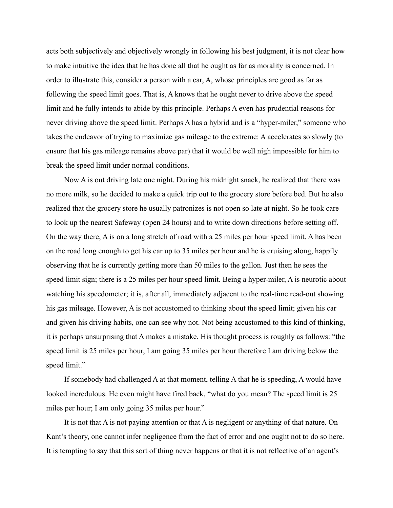acts both subjectively and objectively wrongly in following his best judgment, it is not clear how to make intuitive the idea that he has done all that he ought as far as morality is concerned. In order to illustrate this, consider a person with a car, A, whose principles are good as far as following the speed limit goes. That is, A knows that he ought never to drive above the speed limit and he fully intends to abide by this principle. Perhaps A even has prudential reasons for never driving above the speed limit. Perhaps A has a hybrid and is a "hyper-miler," someone who takes the endeavor of trying to maximize gas mileage to the extreme: A accelerates so slowly (to ensure that his gas mileage remains above par) that it would be well nigh impossible for him to break the speed limit under normal conditions.

Now A is out driving late one night. During his midnight snack, he realized that there was no more milk, so he decided to make a quick trip out to the grocery store before bed. But he also realized that the grocery store he usually patronizes is not open so late at night. So he took care to look up the nearest Safeway (open 24 hours) and to write down directions before setting off. On the way there, A is on a long stretch of road with a 25 miles per hour speed limit. A has been on the road long enough to get his car up to 35 miles per hour and he is cruising along, happily observing that he is currently getting more than 50 miles to the gallon. Just then he sees the speed limit sign; there is a 25 miles per hour speed limit. Being a hyper-miler, A is neurotic about watching his speedometer; it is, after all, immediately adjacent to the real-time read-out showing his gas mileage. However, A is not accustomed to thinking about the speed limit; given his car and given his driving habits, one can see why not. Not being accustomed to this kind of thinking, it is perhaps unsurprising that A makes a mistake. His thought process is roughly as follows: "the speed limit is 25 miles per hour, I am going 35 miles per hour therefore I am driving below the speed limit."

If somebody had challenged A at that moment, telling A that he is speeding, A would have looked incredulous. He even might have fired back, "what do you mean? The speed limit is 25 miles per hour; I am only going 35 miles per hour."

It is not that A is not paying attention or that A is negligent or anything of that nature. On Kant's theory, one cannot infer negligence from the fact of error and one ought not to do so here. It is tempting to say that this sort of thing never happens or that it is not reflective of an agent's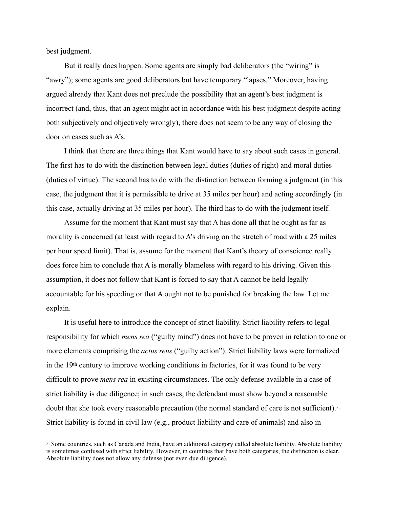best judgment.

But it really does happen. Some agents are simply bad deliberators (the "wiring" is "awry"); some agents are good deliberators but have temporary "lapses." Moreover, having argued already that Kant does not preclude the possibility that an agent's best judgment is incorrect (and, thus, that an agent might act in accordance with his best judgment despite acting both subjectively and objectively wrongly), there does not seem to be any way of closing the door on cases such as A's.

I think that there are three things that Kant would have to say about such cases in general. The first has to do with the distinction between legal duties (duties of right) and moral duties (duties of virtue). The second has to do with the distinction between forming a judgment (in this case, the judgment that it is permissible to drive at 35 miles per hour) and acting accordingly (in this case, actually driving at 35 miles per hour). The third has to do with the judgment itself.

Assume for the moment that Kant must say that A has done all that he ought as far as morality is concerned (at least with regard to A's driving on the stretch of road with a 25 miles per hour speed limit). That is, assume for the moment that Kant's theory of conscience really does force him to conclude that A is morally blameless with regard to his driving. Given this assumption, it does not follow that Kant is forced to say that A cannot be held legally accountable for his speeding or that A ought not to be punished for breaking the law. Let me explain.

It is useful here to introduce the concept of strict liability. Strict liability refers to legal responsibility for which *mens rea* ("guilty mind") does not have to be proven in relation to one or more elements comprising the *actus reus* ("guilty action"). Strict liability laws were formalized in the 19th century to improve working conditions in factories, for it was found to be very difficult to prove *mens rea* in existing circumstances. The only defense available in a case of strict liability is due diligence; in such cases, the defendant must show beyond a reasonable doubt that she took every reasonable precaution (the normal standard of care is not sufficient).[23](#page-14-0) Strict liability is found in civil law (e.g., product liability and care of animals) and also in

<span id="page-14-1"></span><span id="page-14-0"></span><sup>&</sup>lt;sup>[23](#page-14-1)</sup> Some countries, such as Canada and India, have an additional category called absolute liability. Absolute liability is sometimes confused with strict liability. However, in countries that have both categories, the distinction is clear. Absolute liability does not allow any defense (not even due diligence).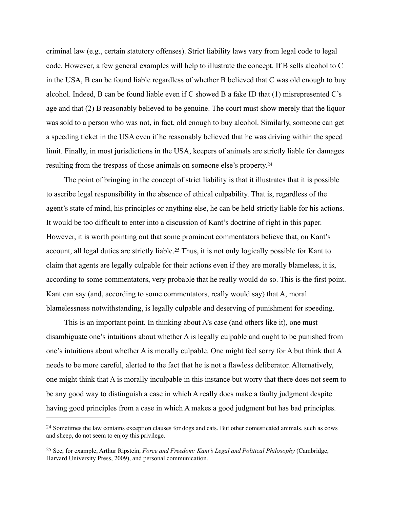criminal law (e.g., certain statutory offenses). Strict liability laws vary from legal code to legal code. However, a few general examples will help to illustrate the concept. If B sells alcohol to C in the USA, B can be found liable regardless of whether B believed that C was old enough to buy alcohol. Indeed, B can be found liable even if C showed B a fake ID that (1) misrepresented C's age and that (2) B reasonably believed to be genuine. The court must show merely that the liquor was sold to a person who was not, in fact, old enough to buy alcohol. Similarly, someone can get a speeding ticket in the USA even if he reasonably believed that he was driving within the speed limit. Finally, in most jurisdictions in the USA, keepers of animals are strictly liable for damages resulting from the trespass of those animals on someone else's property.[24](#page-15-0)

<span id="page-15-3"></span><span id="page-15-2"></span>The point of bringing in the concept of strict liability is that it illustrates that it is possible to ascribe legal responsibility in the absence of ethical culpability. That is, regardless of the agent's state of mind, his principles or anything else, he can be held strictly liable for his actions. It would be too difficult to enter into a discussion of Kant's doctrine of right in this paper. However, it is worth pointing out that some prominent commentators believe that, on Kant's account,all legal duties are strictly liable.<sup>[25](#page-15-1)</sup> Thus, it is not only logically possible for Kant to claim that agents are legally culpable for their actions even if they are morally blameless, it is, according to some commentators, very probable that he really would do so. This is the first point. Kant can say (and, according to some commentators, really would say) that A, moral blamelessness notwithstanding, is legally culpable and deserving of punishment for speeding.

This is an important point. In thinking about A's case (and others like it), one must disambiguate one's intuitions about whether A is legally culpable and ought to be punished from one's intuitions about whether A is morally culpable. One might feel sorry for A but think that A needs to be more careful, alerted to the fact that he is not a flawless deliberator. Alternatively, one might think that A is morally inculpable in this instance but worry that there does not seem to be any good way to distinguish a case in which A really does make a faulty judgment despite having good principles from a case in which A makes a good judgment but has bad principles.

<span id="page-15-0"></span><sup>&</sup>lt;sup>[24](#page-15-2)</sup> Sometimes the law contains exception clauses for dogs and cats. But other domesticated animals, such as cows and sheep, do not seem to enjoy this privilege.

<span id="page-15-1"></span><sup>&</sup>lt;sup>[25](#page-15-3)</sup> See, for example, Arthur Ripstein, *Force and Freedom: Kant's Legal and Political Philosophy* (Cambridge, Harvard University Press, 2009), and personal communication.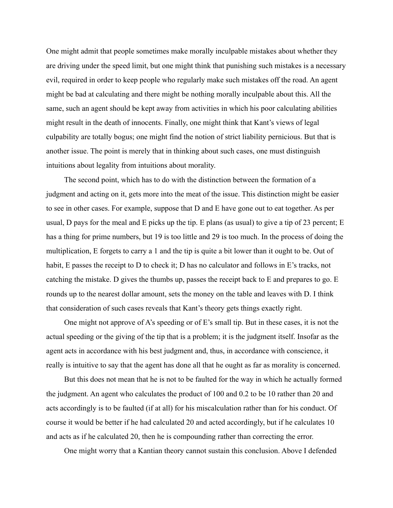One might admit that people sometimes make morally inculpable mistakes about whether they are driving under the speed limit, but one might think that punishing such mistakes is a necessary evil, required in order to keep people who regularly make such mistakes off the road. An agent might be bad at calculating and there might be nothing morally inculpable about this. All the same, such an agent should be kept away from activities in which his poor calculating abilities might result in the death of innocents. Finally, one might think that Kant's views of legal culpability are totally bogus; one might find the notion of strict liability pernicious. But that is another issue. The point is merely that in thinking about such cases, one must distinguish intuitions about legality from intuitions about morality.

The second point, which has to do with the distinction between the formation of a judgment and acting on it, gets more into the meat of the issue. This distinction might be easier to see in other cases. For example, suppose that D and E have gone out to eat together. As per usual, D pays for the meal and E picks up the tip. E plans (as usual) to give a tip of 23 percent; E has a thing for prime numbers, but 19 is too little and 29 is too much. In the process of doing the multiplication, E forgets to carry a 1 and the tip is quite a bit lower than it ought to be. Out of habit, E passes the receipt to D to check it; D has no calculator and follows in E's tracks, not catching the mistake. D gives the thumbs up, passes the receipt back to E and prepares to go. E rounds up to the nearest dollar amount, sets the money on the table and leaves with D. I think that consideration of such cases reveals that Kant's theory gets things exactly right.

One might not approve of A's speeding or of E's small tip. But in these cases, it is not the actual speeding or the giving of the tip that is a problem; it is the judgment itself. Insofar as the agent acts in accordance with his best judgment and, thus, in accordance with conscience, it really is intuitive to say that the agent has done all that he ought as far as morality is concerned.

But this does not mean that he is not to be faulted for the way in which he actually formed the judgment. An agent who calculates the product of 100 and 0.2 to be 10 rather than 20 and acts accordingly is to be faulted (if at all) for his miscalculation rather than for his conduct. Of course it would be better if he had calculated 20 and acted accordingly, but if he calculates 10 and acts as if he calculated 20, then he is compounding rather than correcting the error.

One might worry that a Kantian theory cannot sustain this conclusion. Above I defended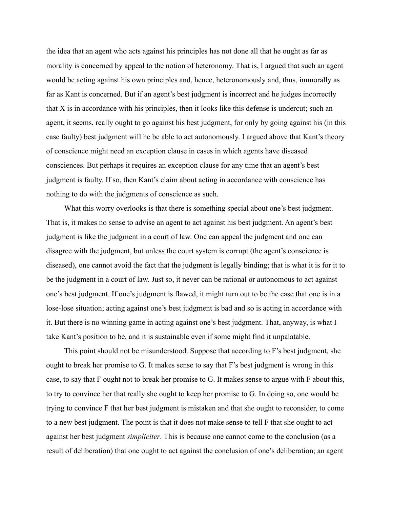the idea that an agent who acts against his principles has not done all that he ought as far as morality is concerned by appeal to the notion of heteronomy. That is, I argued that such an agent would be acting against his own principles and, hence, heteronomously and, thus, immorally as far as Kant is concerned. But if an agent's best judgment is incorrect and he judges incorrectly that X is in accordance with his principles, then it looks like this defense is undercut; such an agent, it seems, really ought to go against his best judgment, for only by going against his (in this case faulty) best judgment will he be able to act autonomously. I argued above that Kant's theory of conscience might need an exception clause in cases in which agents have diseased consciences. But perhaps it requires an exception clause for any time that an agent's best judgment is faulty. If so, then Kant's claim about acting in accordance with conscience has nothing to do with the judgments of conscience as such.

What this worry overlooks is that there is something special about one's best judgment. That is, it makes no sense to advise an agent to act against his best judgment. An agent's best judgment is like the judgment in a court of law. One can appeal the judgment and one can disagree with the judgment, but unless the court system is corrupt (the agent's conscience is diseased), one cannot avoid the fact that the judgment is legally binding; that is what it is for it to be the judgment in a court of law. Just so, it never can be rational or autonomous to act against one's best judgment. If one's judgment is flawed, it might turn out to be the case that one is in a lose-lose situation; acting against one's best judgment is bad and so is acting in accordance with it. But there is no winning game in acting against one's best judgment. That, anyway, is what I take Kant's position to be, and it is sustainable even if some might find it unpalatable.

This point should not be misunderstood. Suppose that according to F's best judgment, she ought to break her promise to G. It makes sense to say that F's best judgment is wrong in this case, to say that F ought not to break her promise to G. It makes sense to argue with F about this, to try to convince her that really she ought to keep her promise to G. In doing so, one would be trying to convince F that her best judgment is mistaken and that she ought to reconsider, to come to a new best judgment. The point is that it does not make sense to tell F that she ought to act against her best judgment *simpliciter*. This is because one cannot come to the conclusion (as a result of deliberation) that one ought to act against the conclusion of one's deliberation; an agent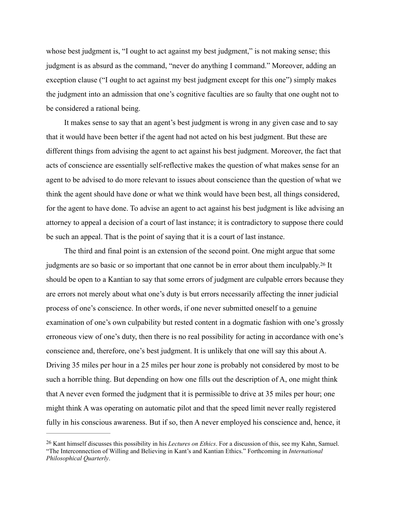whose best judgment is, "I ought to act against my best judgment," is not making sense; this judgment is as absurd as the command, "never do anything I command." Moreover, adding an exception clause ("I ought to act against my best judgment except for this one") simply makes the judgment into an admission that one's cognitive faculties are so faulty that one ought not to be considered a rational being.

It makes sense to say that an agent's best judgment is wrong in any given case and to say that it would have been better if the agent had not acted on his best judgment. But these are different things from advising the agent to act against his best judgment. Moreover, the fact that acts of conscience are essentially self-reflective makes the question of what makes sense for an agent to be advised to do more relevant to issues about conscience than the question of what we think the agent should have done or what we think would have been best, all things considered, for the agent to have done. To advise an agent to act against his best judgment is like advising an attorney to appeal a decision of a court of last instance; it is contradictory to suppose there could be such an appeal. That is the point of saying that it is a court of last instance.

<span id="page-18-1"></span>The third and final point is an extension of the second point. One might argue that some judgments are so basic or so important that one cannot be in error about them inculpably[.](#page-18-0)<sup>[26](#page-18-0)</sup> It should be open to a Kantian to say that some errors of judgment are culpable errors because they are errors not merely about what one's duty is but errors necessarily affecting the inner judicial process of one's conscience. In other words, if one never submitted oneself to a genuine examination of one's own culpability but rested content in a dogmatic fashion with one's grossly erroneous view of one's duty, then there is no real possibility for acting in accordance with one's conscience and, therefore, one's best judgment. It is unlikely that one will say this about A. Driving 35 miles per hour in a 25 miles per hour zone is probably not considered by most to be such a horrible thing. But depending on how one fills out the description of A, one might think that A never even formed the judgment that it is permissible to drive at 35 miles per hour; one might think A was operating on automatic pilot and that the speed limit never really registered fully in his conscious awareness. But if so, then A never employed his conscience and, hence, it

<span id="page-18-0"></span><sup>&</sup>lt;sup>[26](#page-18-1)</sup> Kant himself discusses this possibility in his *Lectures on Ethics*. For a discussion of this, see my Kahn, Samuel. "The Interconnection of Willing and Believing in Kant's and Kantian Ethics." Forthcoming in *International Philosophical Quarterly*.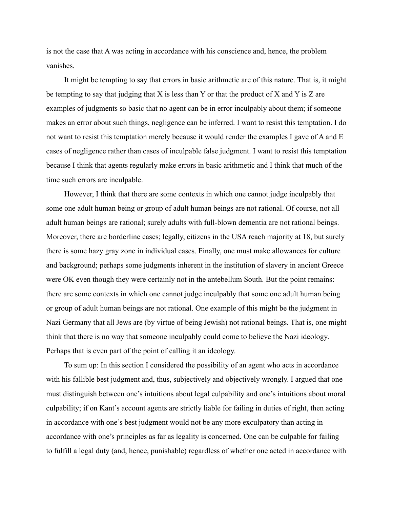is not the case that A was acting in accordance with his conscience and, hence, the problem vanishes.

It might be tempting to say that errors in basic arithmetic are of this nature. That is, it might be tempting to say that judging that  $X$  is less than  $Y$  or that the product of  $X$  and  $Y$  is  $Z$  are examples of judgments so basic that no agent can be in error inculpably about them; if someone makes an error about such things, negligence can be inferred. I want to resist this temptation. I do not want to resist this temptation merely because it would render the examples I gave of A and E cases of negligence rather than cases of inculpable false judgment. I want to resist this temptation because I think that agents regularly make errors in basic arithmetic and I think that much of the time such errors are inculpable.

However, I think that there are some contexts in which one cannot judge inculpably that some one adult human being or group of adult human beings are not rational. Of course, not all adult human beings are rational; surely adults with full-blown dementia are not rational beings. Moreover, there are borderline cases; legally, citizens in the USA reach majority at 18, but surely there is some hazy gray zone in individual cases. Finally, one must make allowances for culture and background; perhaps some judgments inherent in the institution of slavery in ancient Greece were OK even though they were certainly not in the antebellum South. But the point remains: there are some contexts in which one cannot judge inculpably that some one adult human being or group of adult human beings are not rational. One example of this might be the judgment in Nazi Germany that all Jews are (by virtue of being Jewish) not rational beings. That is, one might think that there is no way that someone inculpably could come to believe the Nazi ideology. Perhaps that is even part of the point of calling it an ideology.

To sum up: In this section I considered the possibility of an agent who acts in accordance with his fallible best judgment and, thus, subjectively and objectively wrongly. I argued that one must distinguish between one's intuitions about legal culpability and one's intuitions about moral culpability; if on Kant's account agents are strictly liable for failing in duties of right, then acting in accordance with one's best judgment would not be any more exculpatory than acting in accordance with one's principles as far as legality is concerned. One can be culpable for failing to fulfill a legal duty (and, hence, punishable) regardless of whether one acted in accordance with